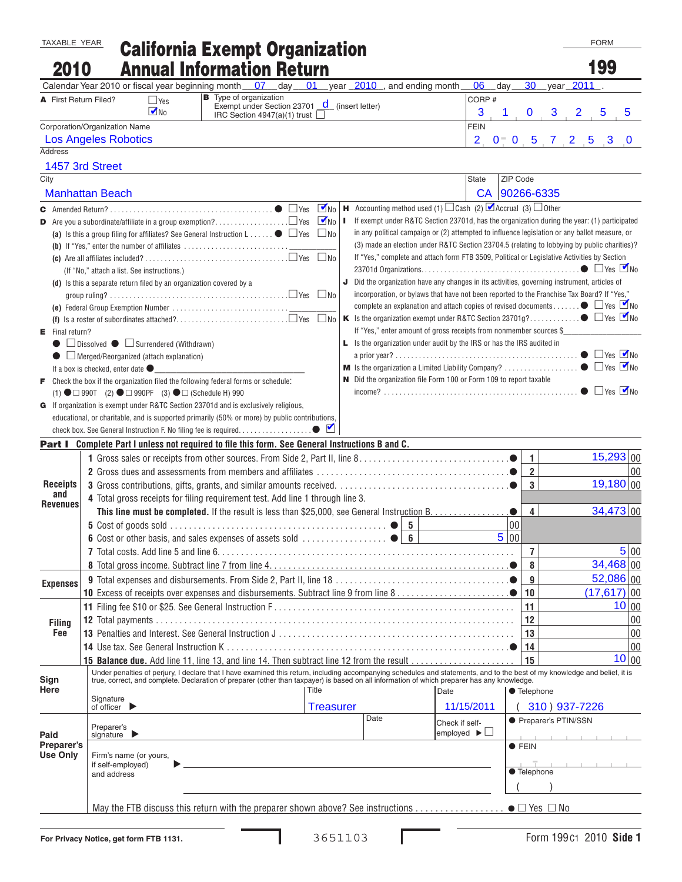## TAXABLE YEAR California Exempt Organization FORM CONSULTING THE CORM 2010 Annual Information Return 199

|                               | AIIIWAI IIIIVIIIKUVII<br>year 2010, and ending month<br>01<br>07<br>Calendar Year 2010 or fiscal year beginning month<br>$\,$ day $\,$                                                               | 06<br>$day_$                                                                                        | 30                                                                                                                                                                                          | year <sup>2011</sup>  |                |                         |  |  |
|-------------------------------|------------------------------------------------------------------------------------------------------------------------------------------------------------------------------------------------------|-----------------------------------------------------------------------------------------------------|---------------------------------------------------------------------------------------------------------------------------------------------------------------------------------------------|-----------------------|----------------|-------------------------|--|--|
| A First Return Filed?         | <b>B</b> Type of organization<br>$\Box$ Yes                                                                                                                                                          | CORP #                                                                                              |                                                                                                                                                                                             |                       |                |                         |  |  |
|                               | Exempt under Section 23701 <u>d</u> (insert letter)<br>$\n  W$<br>IRC Section $4947(a)(1)$ trust                                                                                                     | 3                                                                                                   | $\bf{0}$                                                                                                                                                                                    | $3 \quad 2$           | $\overline{5}$ |                         |  |  |
|                               | Corporation/Organization Name                                                                                                                                                                        | <b>FEIN</b>                                                                                         |                                                                                                                                                                                             |                       |                |                         |  |  |
|                               | <b>Los Angeles Robotics</b>                                                                                                                                                                          | 2 <sub>1</sub>                                                                                      |                                                                                                                                                                                             | $0^-$ 0 5 7 2 5 3     |                | $\overline{\mathbf{0}}$ |  |  |
| <b>Address</b>                |                                                                                                                                                                                                      |                                                                                                     |                                                                                                                                                                                             |                       |                |                         |  |  |
|                               | 1457 3rd Street                                                                                                                                                                                      |                                                                                                     |                                                                                                                                                                                             |                       |                |                         |  |  |
| City                          |                                                                                                                                                                                                      | State                                                                                               | ZIP Code                                                                                                                                                                                    |                       |                |                         |  |  |
|                               | <b>Manhattan Beach</b>                                                                                                                                                                               |                                                                                                     | CA 90266-6335                                                                                                                                                                               |                       |                |                         |  |  |
|                               |                                                                                                                                                                                                      | <b>H</b> Accounting method used (1) $\Box$ Cash (2) $\Box$ Accrual (3) $\Box$ Other                 |                                                                                                                                                                                             |                       |                |                         |  |  |
|                               | п                                                                                                                                                                                                    | If exempt under R&TC Section 23701d, has the organization during the year: (1) participated         |                                                                                                                                                                                             |                       |                |                         |  |  |
|                               | (a) Is this a group filing for affiliates? See General Instruction $L$ $\bullet$ $\Box$ Yes $\Box$ No                                                                                                |                                                                                                     | in any political campaign or (2) attempted to influence legislation or any ballot measure, or                                                                                               |                       |                |                         |  |  |
|                               |                                                                                                                                                                                                      |                                                                                                     | (3) made an election under R&TC Section 23704.5 (relating to lobbying by public charities)?                                                                                                 |                       |                |                         |  |  |
|                               |                                                                                                                                                                                                      | If "Yes," complete and attach form FTB 3509, Political or Legislative Activities by Section         |                                                                                                                                                                                             |                       |                |                         |  |  |
|                               | (If "No," attach a list. See instructions.)                                                                                                                                                          | <b>J</b> Did the organization have any changes in its activities, governing instrument, articles of |                                                                                                                                                                                             |                       |                |                         |  |  |
|                               | (d) Is this a separate return filed by an organization covered by a                                                                                                                                  |                                                                                                     | incorporation, or bylaws that have not been reported to the Franchise Tax Board? If "Yes,"<br>complete an explanation and attach copies of revised documents $\bullet$ $\Box$ Yes $\Box$ No |                       |                |                         |  |  |
|                               |                                                                                                                                                                                                      |                                                                                                     |                                                                                                                                                                                             |                       |                |                         |  |  |
|                               |                                                                                                                                                                                                      |                                                                                                     |                                                                                                                                                                                             |                       |                |                         |  |  |
|                               | If "Yes," enter amount of gross receipts from nonmember sources \$<br>$E$ Final return?                                                                                                              |                                                                                                     |                                                                                                                                                                                             |                       |                |                         |  |  |
|                               | □ Dissolved ● □ Surrendered (Withdrawn)                                                                                                                                                              | L Is the organization under audit by the IRS or has the IRS audited in                              |                                                                                                                                                                                             |                       |                |                         |  |  |
|                               | $\Box$ Merged/Reorganized (attach explanation)                                                                                                                                                       |                                                                                                     |                                                                                                                                                                                             |                       |                |                         |  |  |
|                               | If a box is checked, enter date $\bullet$                                                                                                                                                            | N Did the organization file Form 100 or Form 109 to report taxable                                  |                                                                                                                                                                                             |                       |                |                         |  |  |
|                               | $\blacktriangleright$ Check the box if the organization filed the following federal forms or schedule:<br>(1) $\bullet$ $\Box$ 990T (2) $\bullet$ $\Box$ 990PF (3) $\bullet$ $\Box$ (Schedule H) 990 |                                                                                                     |                                                                                                                                                                                             |                       |                |                         |  |  |
|                               | G If organization is exempt under R&TC Section 23701d and is exclusively religious,                                                                                                                  |                                                                                                     |                                                                                                                                                                                             |                       |                |                         |  |  |
|                               | educational, or charitable, and is supported primarily (50% or more) by public contributions,                                                                                                        |                                                                                                     |                                                                                                                                                                                             |                       |                |                         |  |  |
|                               |                                                                                                                                                                                                      |                                                                                                     |                                                                                                                                                                                             |                       |                |                         |  |  |
|                               | Part I Complete Part I unless not required to file this form. See General Instructions B and C.                                                                                                      |                                                                                                     |                                                                                                                                                                                             |                       |                |                         |  |  |
|                               |                                                                                                                                                                                                      |                                                                                                     | $\mathbf{1}$                                                                                                                                                                                |                       | 15,293 00      |                         |  |  |
|                               |                                                                                                                                                                                                      |                                                                                                     | $\overline{2}$                                                                                                                                                                              |                       |                | 00                      |  |  |
| Receipts                      |                                                                                                                                                                                                      |                                                                                                     | 3                                                                                                                                                                                           |                       | 19,180 00      |                         |  |  |
| and<br>Revenues               | 4 Total gross receipts for filing requirement test. Add line 1 through line 3.                                                                                                                       |                                                                                                     |                                                                                                                                                                                             |                       |                |                         |  |  |
|                               |                                                                                                                                                                                                      |                                                                                                     | $\overline{\mathbf{4}}$                                                                                                                                                                     |                       | 34,473 00      |                         |  |  |
|                               |                                                                                                                                                                                                      | 5                                                                                                   | $00\,$                                                                                                                                                                                      |                       |                |                         |  |  |
|                               |                                                                                                                                                                                                      |                                                                                                     | 5 00                                                                                                                                                                                        |                       |                |                         |  |  |
|                               |                                                                                                                                                                                                      |                                                                                                     | $\overline{7}$                                                                                                                                                                              |                       |                | 5 00                    |  |  |
|                               |                                                                                                                                                                                                      |                                                                                                     | 8                                                                                                                                                                                           |                       | $34,468$ 00    |                         |  |  |
| <b>Expenses</b>               |                                                                                                                                                                                                      |                                                                                                     | 9                                                                                                                                                                                           |                       | $52,086$ 00    |                         |  |  |
|                               |                                                                                                                                                                                                      |                                                                                                     | 10                                                                                                                                                                                          |                       | $(17, 617)$ 00 |                         |  |  |
|                               |                                                                                                                                                                                                      |                                                                                                     | 11                                                                                                                                                                                          |                       |                | 10 00                   |  |  |
| <b>Filing</b>                 |                                                                                                                                                                                                      |                                                                                                     | 12                                                                                                                                                                                          |                       |                | 00                      |  |  |
| Fee                           | 14 Use tax. See General Instruction K                                                                                                                                                                |                                                                                                     | 13                                                                                                                                                                                          |                       |                | 00                      |  |  |
|                               | 15 Balance due. Add line 11, line 13, and line 14. Then subtract line 12 from the result                                                                                                             |                                                                                                     | 14<br>15                                                                                                                                                                                    |                       |                | 00<br>10 00             |  |  |
|                               | Under penalties of perjury, I declare that I have examined this return, including accompanying schedules and statements, and to the best of my knowledge and belief, it is                           |                                                                                                     |                                                                                                                                                                                             |                       |                |                         |  |  |
| Sign                          | true, correct, and complete. Declaration of preparer (other than taxpayer) is based on all information of which preparer has any knowledge.                                                          |                                                                                                     |                                                                                                                                                                                             |                       |                |                         |  |  |
| Here                          | Title<br>Signature                                                                                                                                                                                   | Date                                                                                                | ● Telephone                                                                                                                                                                                 |                       |                |                         |  |  |
|                               | of officer $\blacktriangleright$<br><b>Treasurer</b>                                                                                                                                                 | 11/15/2011                                                                                          |                                                                                                                                                                                             | 310) 937-7226         |                |                         |  |  |
|                               | Date<br>Preparer's                                                                                                                                                                                   | Check if self-                                                                                      |                                                                                                                                                                                             | ● Preparer's PTIN/SSN |                |                         |  |  |
| Paid                          | signature $\blacktriangleright$                                                                                                                                                                      | employed $\blacktriangleright \Box$                                                                 |                                                                                                                                                                                             |                       |                |                         |  |  |
| Preparer's<br><b>Use Only</b> | Firm's name (or yours,                                                                                                                                                                               |                                                                                                     | $\bullet$ FEIN                                                                                                                                                                              |                       |                |                         |  |  |
|                               | if self-employed)                                                                                                                                                                                    |                                                                                                     | <b>Telephone</b>                                                                                                                                                                            |                       |                |                         |  |  |
|                               | and address                                                                                                                                                                                          |                                                                                                     |                                                                                                                                                                                             |                       |                |                         |  |  |
|                               |                                                                                                                                                                                                      |                                                                                                     |                                                                                                                                                                                             |                       |                |                         |  |  |
|                               |                                                                                                                                                                                                      |                                                                                                     |                                                                                                                                                                                             |                       |                |                         |  |  |
|                               |                                                                                                                                                                                                      |                                                                                                     |                                                                                                                                                                                             |                       |                |                         |  |  |